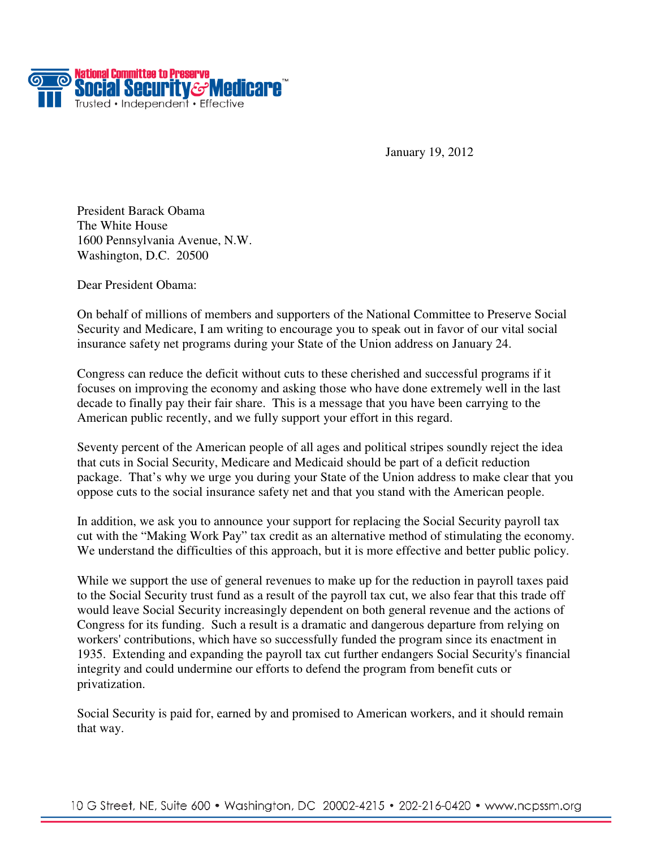

January 19, 2012

President Barack Obama The White House 1600 Pennsylvania Avenue, N.W. Washington, D.C. 20500

Dear President Obama:

On behalf of millions of members and supporters of the National Committee to Preserve Social Security and Medicare, I am writing to encourage you to speak out in favor of our vital social insurance safety net programs during your State of the Union address on January 24.

Congress can reduce the deficit without cuts to these cherished and successful programs if it focuses on improving the economy and asking those who have done extremely well in the last decade to finally pay their fair share. This is a message that you have been carrying to the American public recently, and we fully support your effort in this regard.

Seventy percent of the American people of all ages and political stripes soundly reject the idea that cuts in Social Security, Medicare and Medicaid should be part of a deficit reduction package. That's why we urge you during your State of the Union address to make clear that you oppose cuts to the social insurance safety net and that you stand with the American people.

In addition, we ask you to announce your support for replacing the Social Security payroll tax cut with the "Making Work Pay" tax credit as an alternative method of stimulating the economy. We understand the difficulties of this approach, but it is more effective and better public policy.

While we support the use of general revenues to make up for the reduction in payroll taxes paid to the Social Security trust fund as a result of the payroll tax cut, we also fear that this trade off would leave Social Security increasingly dependent on both general revenue and the actions of Congress for its funding. Such a result is a dramatic and dangerous departure from relying on workers' contributions, which have so successfully funded the program since its enactment in 1935. Extending and expanding the payroll tax cut further endangers Social Security's financial integrity and could undermine our efforts to defend the program from benefit cuts or privatization.

Social Security is paid for, earned by and promised to American workers, and it should remain that way.